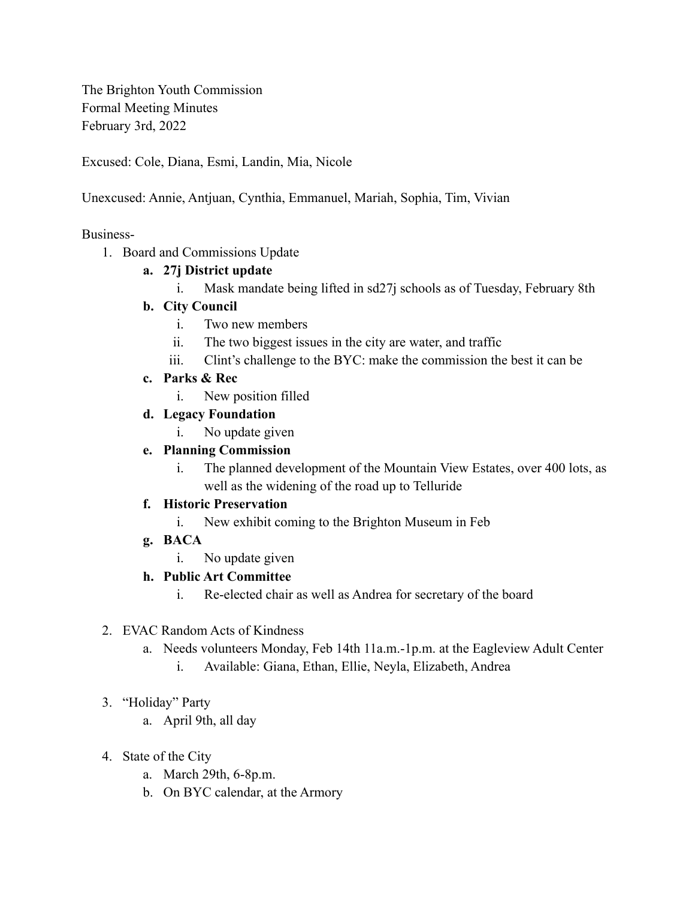The Brighton Youth Commission Formal Meeting Minutes February 3rd, 2022

Excused: Cole, Diana, Esmi, Landin, Mia, Nicole

Unexcused: Annie, Antjuan, Cynthia, Emmanuel, Mariah, Sophia, Tim, Vivian

#### Business-

1. Board and Commissions Update

# **a. 27j District update**

i. Mask mandate being lifted in sd27j schools as of Tuesday, February 8th

### **b. City Council**

- i. Two new members
- ii. The two biggest issues in the city are water, and traffic
- iii. Clint's challenge to the BYC: make the commission the best it can be
- **c. Parks & Rec**
	- i. New position filled
- **d. Legacy Foundation**
	- i. No update given

### **e. Planning Commission**

i. The planned development of the Mountain View Estates, over 400 lots, as well as the widening of the road up to Telluride

#### **f. Historic Preservation**

- i. New exhibit coming to the Brighton Museum in Feb
- **g. BACA**
	- i. No update given

# **h. Public Art Committee**

i. Re-elected chair as well as Andrea for secretary of the board

# 2. EVAC Random Acts of Kindness

- a. Needs volunteers Monday, Feb 14th 11a.m.-1p.m. at the Eagleview Adult Center
	- i. Available: Giana, Ethan, Ellie, Neyla, Elizabeth, Andrea

# 3. "Holiday" Party

- a. April 9th, all day
- 4. State of the City
	- a. March 29th, 6-8p.m.
	- b. On BYC calendar, at the Armory